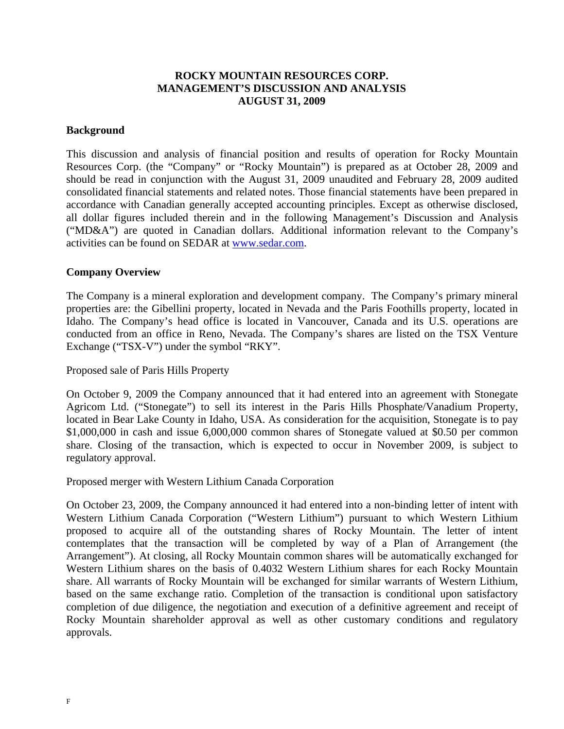# **ROCKY MOUNTAIN RESOURCES CORP. MANAGEMENT'S DISCUSSION AND ANALYSIS AUGUST 31, 2009**

### **Background**

This discussion and analysis of financial position and results of operation for Rocky Mountain Resources Corp. (the "Company" or "Rocky Mountain") is prepared as at October 28, 2009 and should be read in conjunction with the August 31, 2009 unaudited and February 28, 2009 audited consolidated financial statements and related notes. Those financial statements have been prepared in accordance with Canadian generally accepted accounting principles. Except as otherwise disclosed, all dollar figures included therein and in the following Management's Discussion and Analysis ("MD&A") are quoted in Canadian dollars. Additional information relevant to the Company's activities can be found on SEDAR at www.sedar.com.

### **Company Overview**

The Company is a mineral exploration and development company. The Company's primary mineral properties are: the Gibellini property, located in Nevada and the Paris Foothills property, located in Idaho. The Company's head office is located in Vancouver, Canada and its U.S. operations are conducted from an office in Reno, Nevada. The Company's shares are listed on the TSX Venture Exchange ("TSX-V") under the symbol "RKY".

Proposed sale of Paris Hills Property

On October 9, 2009 the Company announced that it had entered into an agreement with Stonegate Agricom Ltd. ("Stonegate") to sell its interest in the Paris Hills Phosphate/Vanadium Property, located in Bear Lake County in Idaho, USA. As consideration for the acquisition, Stonegate is to pay \$1,000,000 in cash and issue 6,000,000 common shares of Stonegate valued at \$0.50 per common share. Closing of the transaction, which is expected to occur in November 2009, is subject to regulatory approval.

Proposed merger with Western Lithium Canada Corporation

On October 23, 2009, the Company announced it had entered into a non-binding letter of intent with Western Lithium Canada Corporation ("Western Lithium") pursuant to which Western Lithium proposed to acquire all of the outstanding shares of Rocky Mountain. The letter of intent contemplates that the transaction will be completed by way of a Plan of Arrangement (the Arrangement"). At closing, all Rocky Mountain common shares will be automatically exchanged for Western Lithium shares on the basis of 0.4032 Western Lithium shares for each Rocky Mountain share. All warrants of Rocky Mountain will be exchanged for similar warrants of Western Lithium, based on the same exchange ratio. Completion of the transaction is conditional upon satisfactory completion of due diligence, the negotiation and execution of a definitive agreement and receipt of Rocky Mountain shareholder approval as well as other customary conditions and regulatory approvals.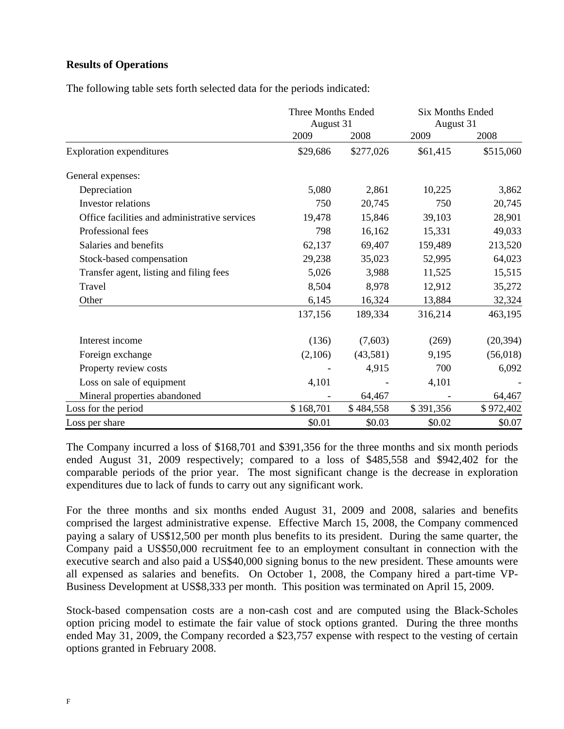# **Results of Operations**

The following table sets forth selected data for the periods indicated:

|                                               | Three Months Ended<br>August 31 |           | <b>Six Months Ended</b><br>August 31 |           |
|-----------------------------------------------|---------------------------------|-----------|--------------------------------------|-----------|
|                                               | 2009                            | 2008      | 2009                                 | 2008      |
| <b>Exploration expenditures</b>               | \$29,686                        | \$277,026 | \$61,415                             | \$515,060 |
| General expenses:                             |                                 |           |                                      |           |
| Depreciation                                  | 5,080                           | 2,861     | 10,225                               | 3,862     |
| Investor relations                            | 750                             | 20,745    | 750                                  | 20,745    |
| Office facilities and administrative services | 19,478                          | 15,846    | 39,103                               | 28,901    |
| Professional fees                             | 798                             | 16,162    | 15,331                               | 49,033    |
| Salaries and benefits                         | 62,137                          | 69,407    | 159,489                              | 213,520   |
| Stock-based compensation                      | 29,238                          | 35,023    | 52,995                               | 64,023    |
| Transfer agent, listing and filing fees       | 5,026                           | 3,988     | 11,525                               | 15,515    |
| Travel                                        | 8,504                           | 8,978     | 12,912                               | 35,272    |
| Other                                         | 6,145                           | 16,324    | 13,884                               | 32,324    |
|                                               | 137,156                         | 189,334   | 316,214                              | 463,195   |
| Interest income                               | (136)                           | (7,603)   | (269)                                | (20, 394) |
| Foreign exchange                              | (2,106)                         | (43,581)  | 9,195                                | (56, 018) |
| Property review costs                         |                                 | 4,915     | 700                                  | 6,092     |
| Loss on sale of equipment                     | 4,101                           |           | 4,101                                |           |
| Mineral properties abandoned                  |                                 | 64,467    |                                      | 64,467    |
| Loss for the period                           | \$168,701                       | \$484,558 | \$391,356                            | \$972,402 |
| Loss per share                                | \$0.01                          | \$0.03    | \$0.02                               | \$0.07    |

The Company incurred a loss of \$168,701 and \$391,356 for the three months and six month periods ended August 31, 2009 respectively; compared to a loss of \$485,558 and \$942,402 for the comparable periods of the prior year. The most significant change is the decrease in exploration expenditures due to lack of funds to carry out any significant work.

For the three months and six months ended August 31, 2009 and 2008, salaries and benefits comprised the largest administrative expense. Effective March 15, 2008, the Company commenced paying a salary of US\$12,500 per month plus benefits to its president. During the same quarter, the Company paid a US\$50,000 recruitment fee to an employment consultant in connection with the executive search and also paid a US\$40,000 signing bonus to the new president. These amounts were all expensed as salaries and benefits. On October 1, 2008, the Company hired a part-time VP-Business Development at US\$8,333 per month. This position was terminated on April 15, 2009.

Stock-based compensation costs are a non-cash cost and are computed using the Black-Scholes option pricing model to estimate the fair value of stock options granted. During the three months ended May 31, 2009, the Company recorded a \$23,757 expense with respect to the vesting of certain options granted in February 2008.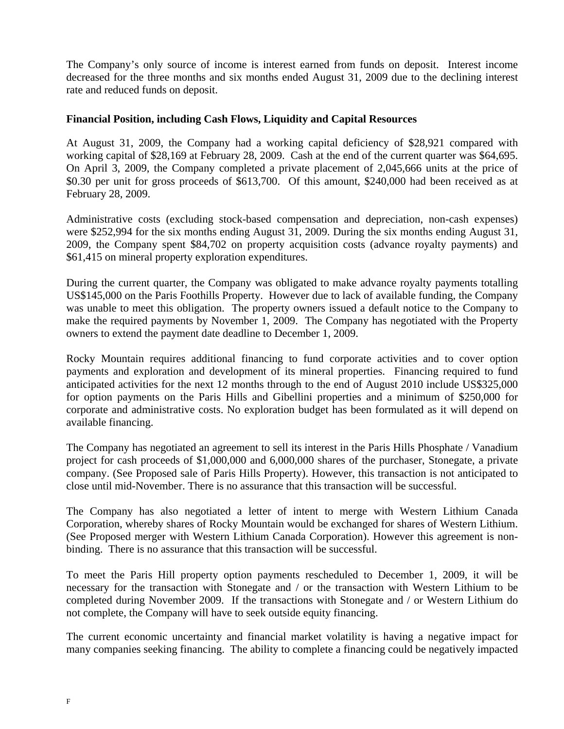The Company's only source of income is interest earned from funds on deposit. Interest income decreased for the three months and six months ended August 31, 2009 due to the declining interest rate and reduced funds on deposit.

## **Financial Position, including Cash Flows, Liquidity and Capital Resources**

At August 31, 2009, the Company had a working capital deficiency of \$28,921 compared with working capital of \$28,169 at February 28, 2009. Cash at the end of the current quarter was \$64,695. On April 3, 2009, the Company completed a private placement of 2,045,666 units at the price of \$0.30 per unit for gross proceeds of \$613,700. Of this amount, \$240,000 had been received as at February 28, 2009.

Administrative costs (excluding stock-based compensation and depreciation, non-cash expenses) were \$252,994 for the six months ending August 31, 2009. During the six months ending August 31, 2009, the Company spent \$84,702 on property acquisition costs (advance royalty payments) and \$61,415 on mineral property exploration expenditures.

During the current quarter, the Company was obligated to make advance royalty payments totalling US\$145,000 on the Paris Foothills Property. However due to lack of available funding, the Company was unable to meet this obligation. The property owners issued a default notice to the Company to make the required payments by November 1, 2009. The Company has negotiated with the Property owners to extend the payment date deadline to December 1, 2009.

Rocky Mountain requires additional financing to fund corporate activities and to cover option payments and exploration and development of its mineral properties. Financing required to fund anticipated activities for the next 12 months through to the end of August 2010 include US\$325,000 for option payments on the Paris Hills and Gibellini properties and a minimum of \$250,000 for corporate and administrative costs. No exploration budget has been formulated as it will depend on available financing.

The Company has negotiated an agreement to sell its interest in the Paris Hills Phosphate / Vanadium project for cash proceeds of \$1,000,000 and 6,000,000 shares of the purchaser, Stonegate, a private company. (See Proposed sale of Paris Hills Property). However, this transaction is not anticipated to close until mid-November. There is no assurance that this transaction will be successful.

The Company has also negotiated a letter of intent to merge with Western Lithium Canada Corporation, whereby shares of Rocky Mountain would be exchanged for shares of Western Lithium. (See Proposed merger with Western Lithium Canada Corporation). However this agreement is nonbinding. There is no assurance that this transaction will be successful.

To meet the Paris Hill property option payments rescheduled to December 1, 2009, it will be necessary for the transaction with Stonegate and / or the transaction with Western Lithium to be completed during November 2009. If the transactions with Stonegate and / or Western Lithium do not complete, the Company will have to seek outside equity financing.

The current economic uncertainty and financial market volatility is having a negative impact for many companies seeking financing. The ability to complete a financing could be negatively impacted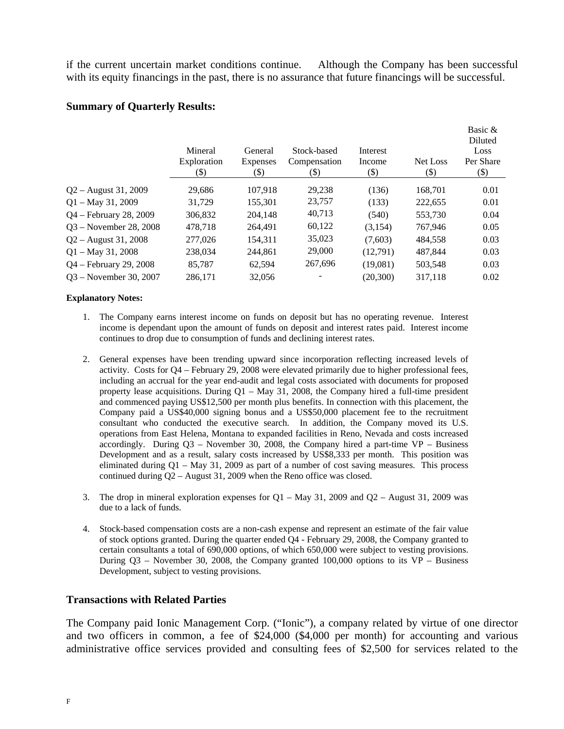if the current uncertain market conditions continue. Although the Company has been successful with its equity financings in the past, there is no assurance that future financings will be successful.

## **Summary of Quarterly Results:**

|                          | Mineral<br>Exploration<br>(\$) | General<br>Expenses<br>(\$) | Stock-based<br>Compensation<br>(\$) | Interest<br>Income<br>$(\$)$ | Net Loss<br>$(\$)$ | Basic &<br>Diluted<br>Loss<br>Per Share<br>\$) |
|--------------------------|--------------------------------|-----------------------------|-------------------------------------|------------------------------|--------------------|------------------------------------------------|
| $Q2 -$ August 31, 2009   | 29.686                         | 107.918                     | 29.238                              | (136)                        | 168,701            | 0.01                                           |
| $Q1 - May 31, 2009$      | 31,729                         | 155,301                     | 23,757                              | (133)                        | 222,655            | 0.01                                           |
| Q4 – February 28, 2009   | 306,832                        | 204,148                     | 40,713                              | (540)                        | 553,730            | 0.04                                           |
| $Q3$ – November 28, 2008 | 478.718                        | 264.491                     | 60,122                              | (3.154)                      | 767.946            | 0.05                                           |
| $Q2 -$ August 31, 2008   | 277,026                        | 154,311                     | 35,023                              | (7,603)                      | 484,558            | 0.03                                           |
| $Q1 - May 31, 2008$      | 238,034                        | 244.861                     | 29,000                              | (12,791)                     | 487.844            | 0.03                                           |
| $Q4 - February 29, 2008$ | 85,787                         | 62,594                      | 267,696                             | (19,081)                     | 503,548            | 0.03                                           |
| $Q3$ – November 30, 2007 | 286,171                        | 32,056                      |                                     | (20, 300)                    | 317,118            | 0.02                                           |

#### **Explanatory Notes:**

- 1. The Company earns interest income on funds on deposit but has no operating revenue. Interest income is dependant upon the amount of funds on deposit and interest rates paid. Interest income continues to drop due to consumption of funds and declining interest rates.
- 2. General expenses have been trending upward since incorporation reflecting increased levels of activity. Costs for Q4 – February 29, 2008 were elevated primarily due to higher professional fees, including an accrual for the year end-audit and legal costs associated with documents for proposed property lease acquisitions. During  $Q1 - May 31$ , 2008, the Company hired a full-time president and commenced paying US\$12,500 per month plus benefits. In connection with this placement, the Company paid a US\$40,000 signing bonus and a US\$50,000 placement fee to the recruitment consultant who conducted the executive search. In addition, the Company moved its U.S. operations from East Helena, Montana to expanded facilities in Reno, Nevada and costs increased accordingly. During  $Q3$  – November 30, 2008, the Company hired a part-time  $VP$  – Business Development and as a result, salary costs increased by US\$8,333 per month. This position was eliminated during  $Q1 - May 31$ , 2009 as part of a number of cost saving measures. This process continued during Q2 – August 31, 2009 when the Reno office was closed.
- 3. The drop in mineral exploration expenses for  $Q1 May 31$ , 2009 and  $Q2 August 31$ , 2009 was due to a lack of funds.
- 4. Stock-based compensation costs are a non-cash expense and represent an estimate of the fair value of stock options granted. During the quarter ended Q4 - February 29, 2008, the Company granted to certain consultants a total of 690,000 options, of which 650,000 were subject to vesting provisions. During  $Q3$  – November 30, 2008, the Company granted 100,000 options to its VP – Business Development, subject to vesting provisions.

#### **Transactions with Related Parties**

The Company paid Ionic Management Corp. ("Ionic"), a company related by virtue of one director and two officers in common, a fee of \$24,000 (\$4,000 per month) for accounting and various administrative office services provided and consulting fees of \$2,500 for services related to the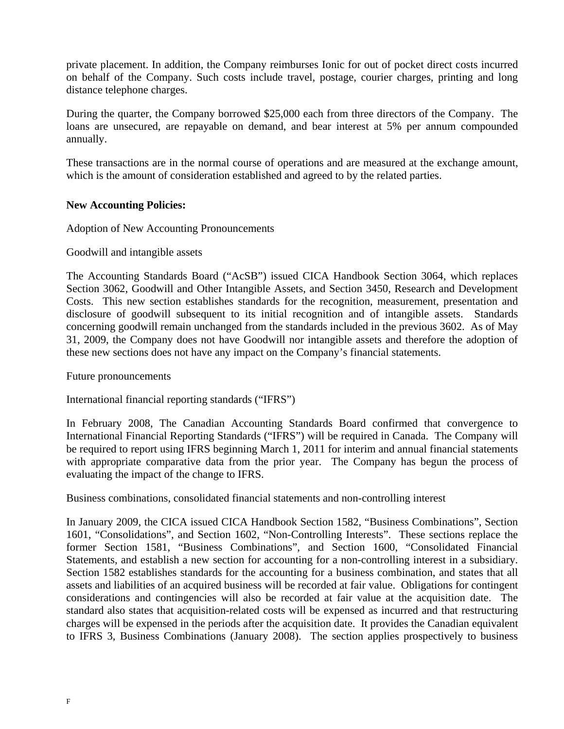private placement. In addition, the Company reimburses Ionic for out of pocket direct costs incurred on behalf of the Company. Such costs include travel, postage, courier charges, printing and long distance telephone charges.

During the quarter, the Company borrowed \$25,000 each from three directors of the Company. The loans are unsecured, are repayable on demand, and bear interest at 5% per annum compounded annually.

These transactions are in the normal course of operations and are measured at the exchange amount, which is the amount of consideration established and agreed to by the related parties.

## **New Accounting Policies:**

Adoption of New Accounting Pronouncements

# Goodwill and intangible assets

The Accounting Standards Board ("AcSB") issued CICA Handbook Section 3064, which replaces Section 3062, Goodwill and Other Intangible Assets, and Section 3450, Research and Development Costs. This new section establishes standards for the recognition, measurement, presentation and disclosure of goodwill subsequent to its initial recognition and of intangible assets. Standards concerning goodwill remain unchanged from the standards included in the previous 3602. As of May 31, 2009, the Company does not have Goodwill nor intangible assets and therefore the adoption of these new sections does not have any impact on the Company's financial statements.

## Future pronouncements

International financial reporting standards ("IFRS")

In February 2008, The Canadian Accounting Standards Board confirmed that convergence to International Financial Reporting Standards ("IFRS") will be required in Canada. The Company will be required to report using IFRS beginning March 1, 2011 for interim and annual financial statements with appropriate comparative data from the prior year. The Company has begun the process of evaluating the impact of the change to IFRS.

Business combinations, consolidated financial statements and non-controlling interest

In January 2009, the CICA issued CICA Handbook Section 1582, "Business Combinations", Section 1601, "Consolidations", and Section 1602, "Non-Controlling Interests". These sections replace the former Section 1581, "Business Combinations", and Section 1600, "Consolidated Financial Statements, and establish a new section for accounting for a non-controlling interest in a subsidiary. Section 1582 establishes standards for the accounting for a business combination, and states that all assets and liabilities of an acquired business will be recorded at fair value. Obligations for contingent considerations and contingencies will also be recorded at fair value at the acquisition date. The standard also states that acquisition-related costs will be expensed as incurred and that restructuring charges will be expensed in the periods after the acquisition date. It provides the Canadian equivalent to IFRS 3, Business Combinations (January 2008). The section applies prospectively to business